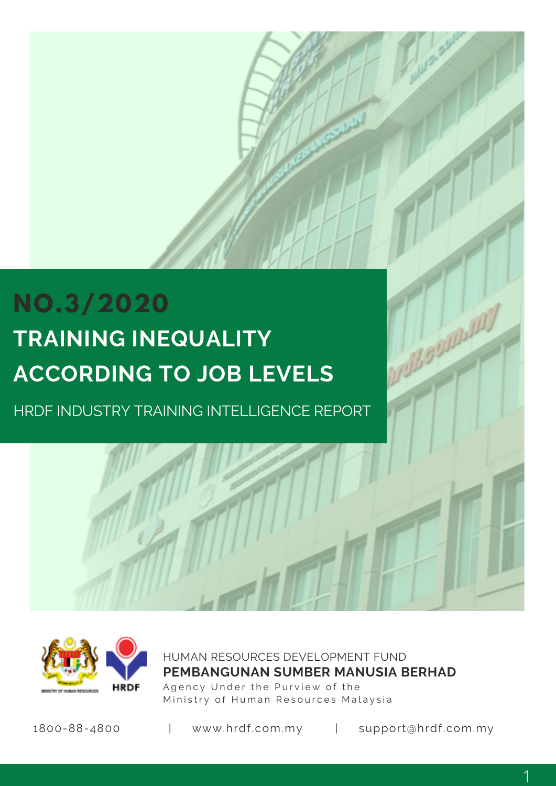# **NO.3/2020 TRAINING INEQUALITY ACCORDING TO JOB LEVELS**

HRDF INDUSTRY TRAINING INTELLIGENCE REPORT



HUMAN RESOURCES DEVELOPMENT FUND Agency Under the Purview of the Ministry of Human Resources Malaysia **PEMBANGUNAN SUMBER MANUSIA BERHAD**

1800-88-4800 | www.hrdf.com.my | support@hrdf.com.my

mill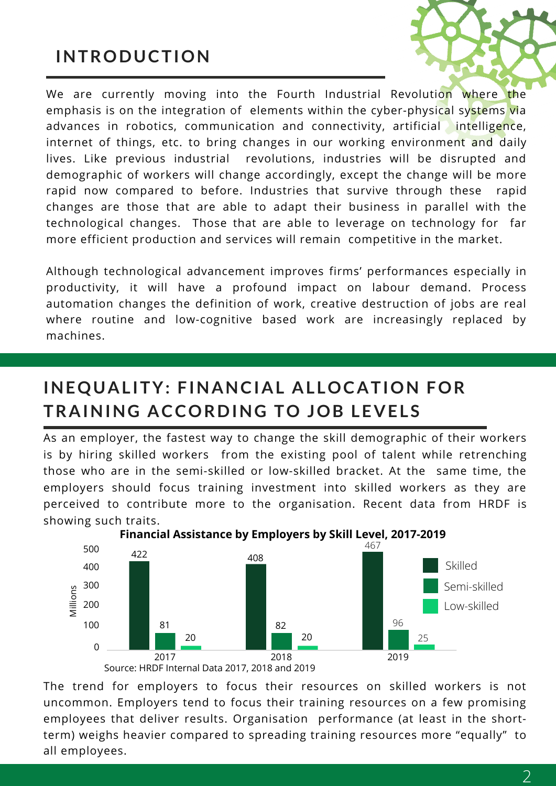## **INTRODUCTION**

We are currently moving into the Fourth Industrial Revolution where the emphasis is on the integration of elements within the cyber-physical systems via advances in robotics, communication and connectivity, artificial intelligence, internet of things, etc. to bring changes in our working environment and daily lives. Like previous industrial revolutions, industries will be disrupted and demographic of workers will change accordingly, except the change will be more rapid now compared to before. Industries that survive through these rapid changes are those that are able to adapt their business in parallel with the technological changes. Those that are able to leverage on technology for far more efficient production and services will remain competitive in the market.

Although technological advancement improves firms' performances especially in productivity, it will have a profound impact on labour demand. Process automation changes the definition of work, creative destruction of jobs are real where routine and low-cognitive based work are increasingly replaced by machines.

### **INEQUAL ITY: FINANCIAL AL LOCATION FOR TRAINING ACCORDING TO JOB LEVELS**

As an employer, the fastest way to change the skill demographic of their workers is by hiring skilled workers from the existing pool of talent while retrenching those who are in the semi-skilled or low-skilled bracket. At the same time, the employers should focus training investment into skilled workers as they are perceived to contribute more to the organisation. Recent data from HRDF is showing such traits.



**Financial Assistance by Employers by Skill Level, 2017-2019**

The trend for employers to focus their resources on skilled workers is not uncommon. Employers tend to focus their training resources on a few promising employees that deliver results. Organisation performance (at least in the shortterm) weighs heavier compared to spreading training resources more "equally" to all employees.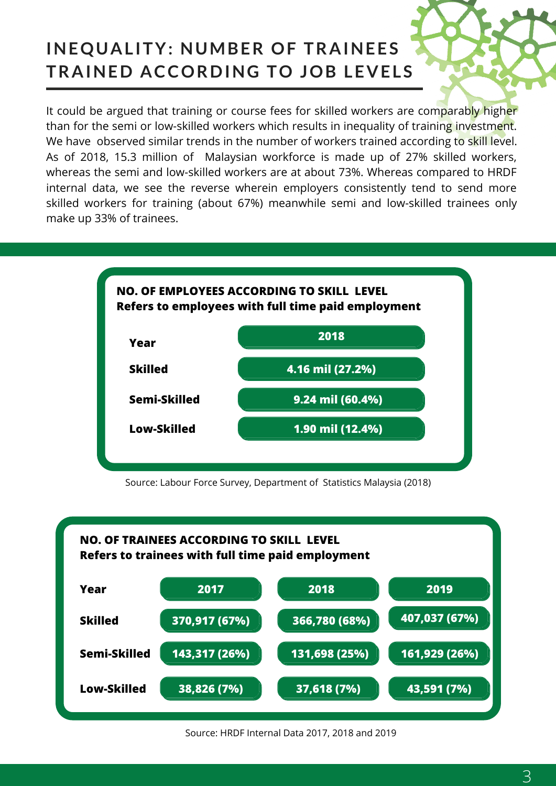# **INEQUALITY: NUMBER OF TRAINEES TRAINED ACCORDING TO JOB LEVELS**

It could be argued that training or course fees for skilled workers are comparably higher than for the semi or low-skilled workers which results in inequality of training investment. We have observed similar trends in the number of workers trained according to skill level. As of 2018, 15.3 million of Malaysian workforce is made up of 27% skilled workers, whereas the semi and low-skilled workers are at about 73%. Whereas compared to HRDF internal data, we see the reverse wherein employers consistently tend to send more skilled workers for training (about 67%) meanwhile semi and low-skilled trainees only make up 33% of trainees.



Source: Labour Force Survey, Department of Statistics Malaysia (2018)



Source: HRDF Internal Data 2017, 2018 and 2019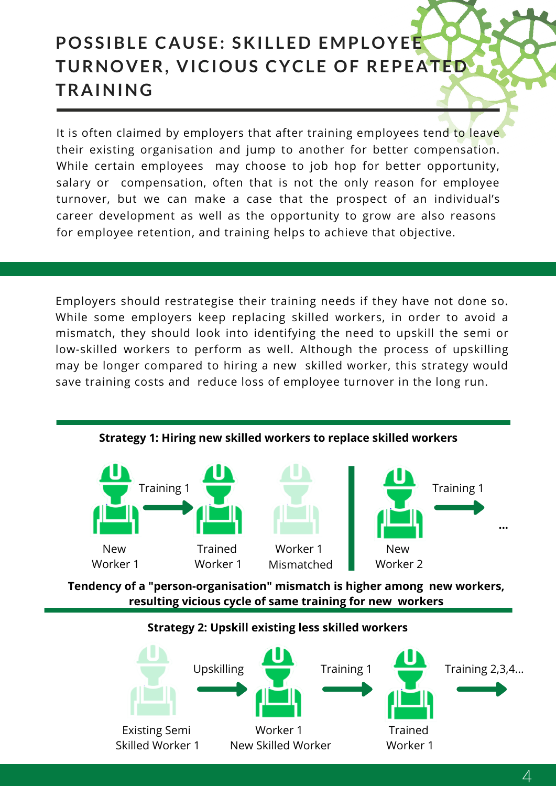# **POSSIBLE CAUSE: SKI L LED EMPLOYEE TURNOVER, VICIOUS CYCLE OF REPEATED TRAINING**

It is often claimed by employers that after training employees tend to leave their existing organisation and jump to another for better compensation. While certain employees may choose to job hop for better opportunity, salary or compensation, often that is not the only reason for employee turnover, but we can make a case that the prospect of an individual's career development as well as the opportunity to grow are also reasons for employee retention, and training helps to achieve that objective.

Employers should restrategise their training needs if they have not done so. While some employers keep replacing skilled workers, in order to avoid a mismatch, they should look into identifying the need to upskill the semi or low-skilled workers to perform as well. Although the process of upskilling may be longer compared to hiring a new skilled worker, this strategy would save training costs and reduce loss of employee turnover in the long run.



#### **Strategy 1: Hiring new skilled workers to replace skilled workers**

**Tendency of a "person-organisation" mismatch is higher among new workers, resulting vicious cycle of same training for new workers**

#### **Strategy 2: Upskill existing less skilled workers**

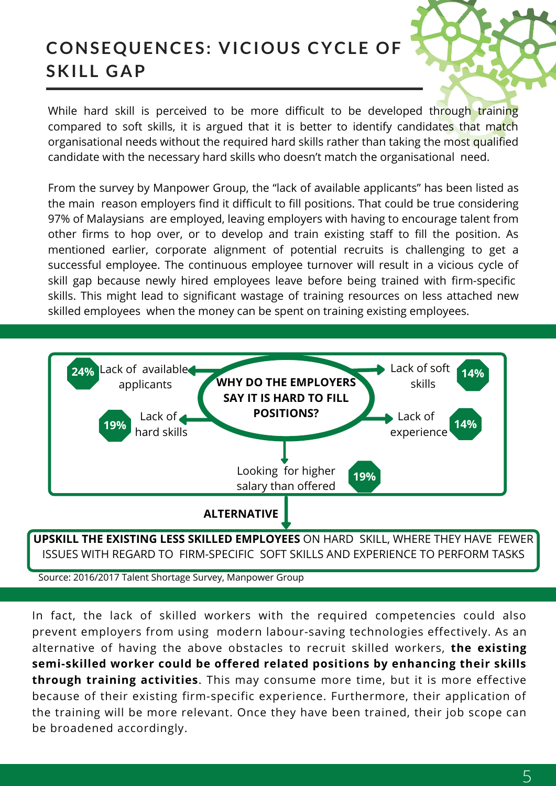### **CONSEQUENCES: VICIOUS CYCLE OF SKI L L GAP**

While hard skill is perceived to be more difficult to be developed through training compared to soft skills, it is argued that it is better to identify candidates that match organisational needs without the required hard skills rather than taking the most qualified candidate with the necessary hard skills who doesn't match the organisational need.

From the survey by Manpower Group, the "lack of available applicants" has been listed as the main reason employers find it difficult to fill positions. That could be true considering 97% of Malaysians are employed, leaving employers with having to encourage talent from other firms to hop over, or to develop and train existing staff to fill the position. As mentioned earlier, corporate alignment of potential recruits is challenging to get a successful employee. The continuous employee turnover will result in a vicious cycle of skill gap because newly hired employees leave before being trained with firm-specific skills. This might lead to significant wastage of training resources on less attached new skilled employees when the money can be spent on training existing employees.



Source: 2016/2017 Talent Shortage Survey, Manpower Group

In fact, the lack of skilled workers with the required competencies could also prevent employers from using modern labour-saving technologies effectively. As an alternative of having the above obstacles to recruit skilled workers, **the existing semi-skilled worker could be offered related positions by enhancing their skills through training activities**. This may consume more time, but it is more effective because of their existing firm-specific experience. Furthermore, their application of the training will be more relevant. Once they have been trained, their job scope can be broadened accordingly.